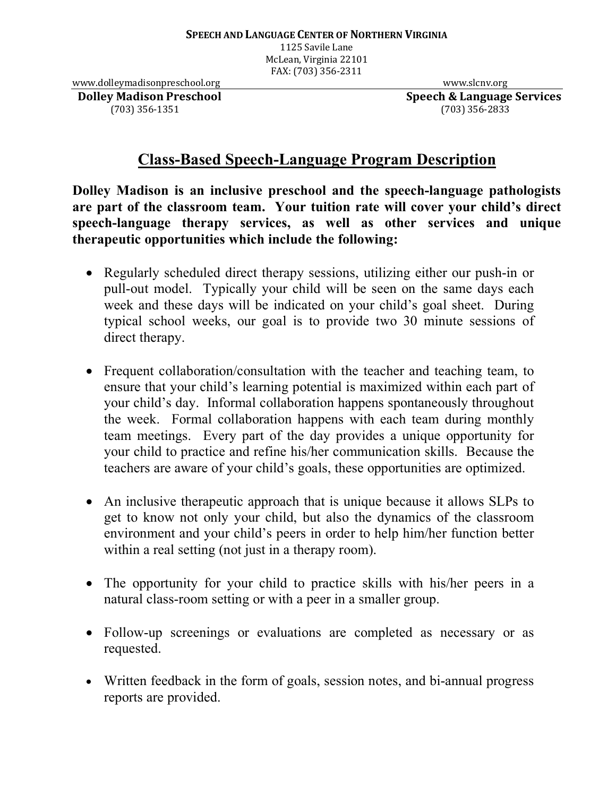1125 Savile Lane McLean, Virginia 22101 FAX: (703) 356-2311

www.dolleymadisonpreschool.org www.slcnv.org www.slcnv.org **Dolley Madison Preschool Speech & Language Services** 

(703) 356-1351 (703) 356-2833

## **Class-Based Speech-Language Program Description**

**Dolley Madison is an inclusive preschool and the speech-language pathologists are part of the classroom team. Your tuition rate will cover your child's direct speech-language therapy services, as well as other services and unique therapeutic opportunities which include the following:**

- Regularly scheduled direct therapy sessions, utilizing either our push-in or pull-out model. Typically your child will be seen on the same days each week and these days will be indicated on your child's goal sheet. During typical school weeks, our goal is to provide two 30 minute sessions of direct therapy.
- Frequent collaboration/consultation with the teacher and teaching team, to ensure that your child's learning potential is maximized within each part of your child's day. Informal collaboration happens spontaneously throughout the week. Formal collaboration happens with each team during monthly team meetings. Every part of the day provides a unique opportunity for your child to practice and refine his/her communication skills. Because the teachers are aware of your child's goals, these opportunities are optimized.
- An inclusive therapeutic approach that is unique because it allows SLPs to get to know not only your child, but also the dynamics of the classroom environment and your child's peers in order to help him/her function better within a real setting (not just in a therapy room).
- The opportunity for your child to practice skills with his/her peers in a natural class-room setting or with a peer in a smaller group.
- Follow-up screenings or evaluations are completed as necessary or as requested.
- Written feedback in the form of goals, session notes, and bi-annual progress reports are provided.